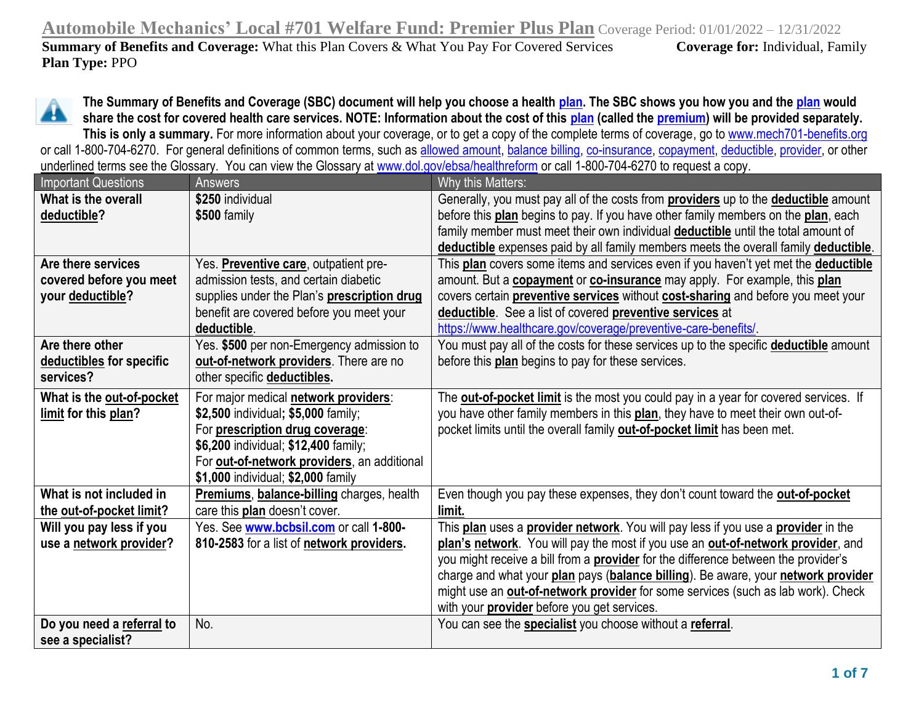**Automobile Mechanics' Local #701 Welfare Fund: Premier Plus Plan** Coverage Period: 01/01/2022 – 12/31/2022 **Summary of Benefits and Coverage:** What this Plan Covers & What You Pay For Covered Services **Coverage for:** Individual, Family **Plan Type:** PPO



**The Summary of Benefits and Coverage (SBC) document will help you choose a health [plan.](https://www.healthcare.gov/sbc-glossary/#plan) The SBC shows you how you and the [plan](https://www.healthcare.gov/sbc-glossary/#plan) would share the cost for covered health care services. NOTE: Information about the cost of this [plan](https://www.healthcare.gov/sbc-glossary/#plan) (called the [premium\)](https://www.healthcare.gov/sbc-glossary/#premium) will be provided separately.** This is only a summary. For more information about your coverage, or to get a copy of the complete terms of coverage, go to [www.mech701-benefits.org](http://www.mech701-benefits.org/)

or call 1-800-704-6270. For general definitions of common terms, such as [allowed amount,](https://www.healthcare.gov/sbc-glossary/#allowed-amount) [balance billing,](https://www.healthcare.gov/sbc-glossary/#balance-billing) [co-insurance,](http://co-insurance/) [copayment,](https://www.healthcare.gov/sbc-glossary/#copayment) [deductible,](https://www.healthcare.gov/sbc-glossary/#deductible) [provider,](https://www.healthcare.gov/sbc-glossary/#provider) or other underlined terms see the Glossary. You can view the Glossary at [www.dol.gov/ebsa/healthreform](http://www.dol.gov/ebsa/healthreform) or call 1-800-704-6270 to request a copy.

| <b>Important Questions</b> | <b>Answers</b>                                      | Why this Matters:                                                                                 |
|----------------------------|-----------------------------------------------------|---------------------------------------------------------------------------------------------------|
| What is the overall        | \$250 individual                                    | Generally, you must pay all of the costs from <b>providers</b> up to the <b>deductible</b> amount |
| deductible?                | \$500 family                                        | before this plan begins to pay. If you have other family members on the plan, each                |
|                            |                                                     | family member must meet their own individual <b>deductible</b> until the total amount of          |
|                            |                                                     | deductible expenses paid by all family members meets the overall family deductible.               |
| Are there services         | Yes. Preventive care, outpatient pre-               | This plan covers some items and services even if you haven't yet met the deductible               |
| covered before you meet    | admission tests, and certain diabetic               | amount. But a <b>copayment</b> or <b>co-insurance</b> may apply. For example, this plan           |
| your deductible?           | supplies under the Plan's prescription drug         | covers certain preventive services without cost-sharing and before you meet your                  |
|                            | benefit are covered before you meet your            | deductible. See a list of covered preventive services at                                          |
|                            | deductible.                                         | https://www.healthcare.gov/coverage/preventive-care-benefits/                                     |
| Are there other            | Yes. \$500 per non-Emergency admission to           | You must pay all of the costs for these services up to the specific <b>deductible</b> amount      |
| deductibles for specific   | out-of-network providers. There are no              | before this plan begins to pay for these services.                                                |
| services?                  | other specific deductibles.                         |                                                                                                   |
| What is the out-of-pocket  | For major medical <b>network providers</b> :        | The <b>out-of-pocket limit</b> is the most you could pay in a year for covered services. If       |
| limit for this plan?       | \$2,500 individual; \$5,000 family;                 | you have other family members in this plan, they have to meet their own out-of-                   |
|                            | For prescription drug coverage:                     | pocket limits until the overall family out-of-pocket limit has been met.                          |
|                            | \$6,200 individual; \$12,400 family;                |                                                                                                   |
|                            | For <b>out-of-network providers</b> , an additional |                                                                                                   |
|                            | \$1,000 individual; \$2,000 family                  |                                                                                                   |
| What is not included in    | Premiums, balance-billing charges, health           | Even though you pay these expenses, they don't count toward the out-of-pocket                     |
| the out-of-pocket limit?   | care this plan doesn't cover.                       | limit.                                                                                            |
| Will you pay less if you   | Yes. See www.bcbsil.com or call 1-800-              | This plan uses a provider network. You will pay less if you use a provider in the                 |
| use a network provider?    | 810-2583 for a list of network providers.           | plan's network. You will pay the most if you use an out-of-network provider, and                  |
|                            |                                                     | you might receive a bill from a <b>provider</b> for the difference between the provider's         |
|                            |                                                     | charge and what your plan pays (balance billing). Be aware, your network provider                 |
|                            |                                                     | might use an out-of-network provider for some services (such as lab work). Check                  |
|                            |                                                     | with your <b>provider</b> before you get services.                                                |
| Do you need a referral to  | No.                                                 | You can see the specialist you choose without a referral.                                         |
| see a specialist?          |                                                     |                                                                                                   |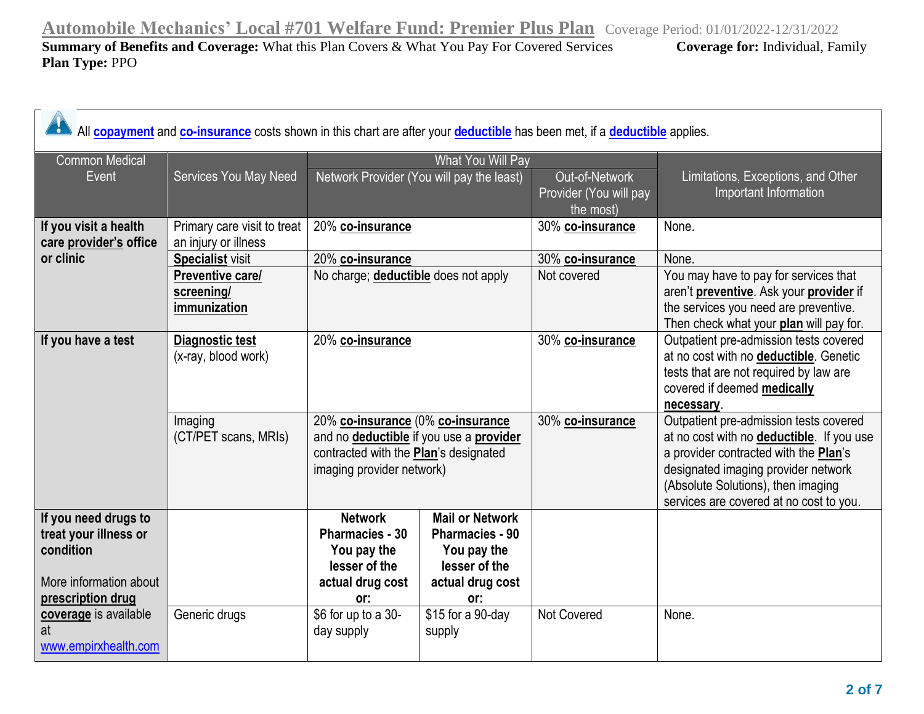| All <b>copayment</b> and <b>co-insurance</b> costs shown in this chart are after your <b>deductible</b> has been met, if a <b>deductible</b> applies. |                                                       |                                                                                                                                                    |                                                                                                             |                                                       |                                                                                                                                                                                                                                                              |
|-------------------------------------------------------------------------------------------------------------------------------------------------------|-------------------------------------------------------|----------------------------------------------------------------------------------------------------------------------------------------------------|-------------------------------------------------------------------------------------------------------------|-------------------------------------------------------|--------------------------------------------------------------------------------------------------------------------------------------------------------------------------------------------------------------------------------------------------------------|
| <b>Common Medical</b>                                                                                                                                 |                                                       |                                                                                                                                                    | What You Will Pay                                                                                           |                                                       |                                                                                                                                                                                                                                                              |
| Event                                                                                                                                                 | Services You May Need                                 |                                                                                                                                                    | Network Provider (You will pay the least)                                                                   | Out-of-Network<br>Provider (You will pay<br>the most) | Limitations, Exceptions, and Other<br>Important Information                                                                                                                                                                                                  |
| If you visit a health<br>care provider's office                                                                                                       | Primary care visit to treat<br>an injury or illness   | 20% co-insurance                                                                                                                                   |                                                                                                             | 30% co-insurance                                      | None.                                                                                                                                                                                                                                                        |
| or clinic                                                                                                                                             | <b>Specialist visit</b>                               | 20% co-insurance                                                                                                                                   |                                                                                                             | 30% co-insurance                                      | None.                                                                                                                                                                                                                                                        |
|                                                                                                                                                       | <b>Preventive care/</b><br>screening/<br>immunization | No charge; <b>deductible</b> does not apply                                                                                                        |                                                                                                             | Not covered                                           | You may have to pay for services that<br>aren't preventive. Ask your provider if<br>the services you need are preventive.<br>Then check what your plan will pay for.                                                                                         |
| If you have a test                                                                                                                                    | Diagnostic test<br>(x-ray, blood work)                | 20% co-insurance                                                                                                                                   |                                                                                                             | 30% co-insurance                                      | Outpatient pre-admission tests covered<br>at no cost with no deductible. Genetic<br>tests that are not required by law are<br>covered if deemed medically<br>necessary.                                                                                      |
|                                                                                                                                                       | Imaging<br>(CT/PET scans, MRIs)                       | 20% co-insurance (0% co-insurance<br>and no deductible if you use a provider<br>contracted with the Plan's designated<br>imaging provider network) |                                                                                                             | 30% co-insurance                                      | Outpatient pre-admission tests covered<br>at no cost with no <b>deductible</b> . If you use<br>a provider contracted with the Plan's<br>designated imaging provider network<br>(Absolute Solutions), then imaging<br>services are covered at no cost to you. |
| If you need drugs to<br>treat your illness or<br>condition<br>More information about<br>prescription drug                                             |                                                       | <b>Network</b><br>Pharmacies - 30<br>You pay the<br>lesser of the<br>actual drug cost<br>or:                                                       | <b>Mail or Network</b><br><b>Pharmacies - 90</b><br>You pay the<br>lesser of the<br>actual drug cost<br>or: |                                                       |                                                                                                                                                                                                                                                              |
| coverage is available<br>at<br>www.empirxhealth.com                                                                                                   | Generic drugs                                         | \$6 for up to a 30-<br>day supply                                                                                                                  | \$15 for a 90-day<br>supply                                                                                 | <b>Not Covered</b>                                    | None.                                                                                                                                                                                                                                                        |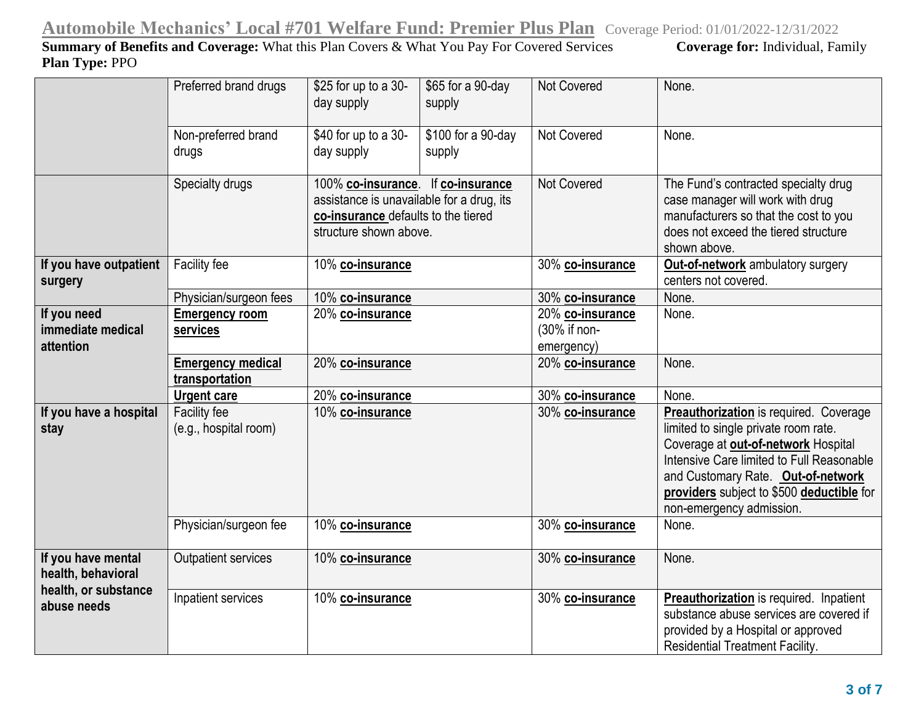|                                                                  | Preferred brand drugs                      | \$25 for up to a 30-<br>day supply                                                                                                               | \$65 for a 90-day<br>supply  | Not Covered        | None.                                                                                                                                                                                                                                                                                    |
|------------------------------------------------------------------|--------------------------------------------|--------------------------------------------------------------------------------------------------------------------------------------------------|------------------------------|--------------------|------------------------------------------------------------------------------------------------------------------------------------------------------------------------------------------------------------------------------------------------------------------------------------------|
|                                                                  | Non-preferred brand<br>drugs               | \$40 for up to a 30-<br>day supply                                                                                                               | \$100 for a 90-day<br>supply | <b>Not Covered</b> | None.                                                                                                                                                                                                                                                                                    |
|                                                                  | Specialty drugs                            | 100% co-insurance. If co-insurance<br>assistance is unavailable for a drug, its<br>co-insurance defaults to the tiered<br>structure shown above. |                              | <b>Not Covered</b> | The Fund's contracted specialty drug<br>case manager will work with drug<br>manufacturers so that the cost to you<br>does not exceed the tiered structure<br>shown above.                                                                                                                |
| If you have outpatient<br>surgery                                | Facility fee                               | 10% co-insurance                                                                                                                                 |                              | 30% co-insurance   | Out-of-network ambulatory surgery<br>centers not covered.                                                                                                                                                                                                                                |
|                                                                  | Physician/surgeon fees                     | 10% co-insurance                                                                                                                                 |                              | 30% co-insurance   | None.                                                                                                                                                                                                                                                                                    |
| If you need                                                      | Emergency room                             | 20% co-insurance                                                                                                                                 |                              | 20% co-insurance   | None.                                                                                                                                                                                                                                                                                    |
| immediate medical                                                | services                                   |                                                                                                                                                  |                              | (30% if non-       |                                                                                                                                                                                                                                                                                          |
| attention                                                        |                                            |                                                                                                                                                  |                              | emergency)         |                                                                                                                                                                                                                                                                                          |
|                                                                  | <b>Emergency medical</b><br>transportation | 20% co-insurance                                                                                                                                 |                              | 20% co-insurance   | None.                                                                                                                                                                                                                                                                                    |
|                                                                  | <b>Urgent care</b>                         | 20% co-insurance                                                                                                                                 |                              | 30% co-insurance   | None.                                                                                                                                                                                                                                                                                    |
| If you have a hospital<br>stay                                   | Facility fee<br>(e.g., hospital room)      | 10% co-insurance                                                                                                                                 |                              | 30% co-insurance   | <b>Preauthorization</b> is required. Coverage<br>limited to single private room rate.<br>Coverage at out-of-network Hospital<br>Intensive Care limited to Full Reasonable<br>and Customary Rate. Out-of-network<br>providers subject to \$500 deductible for<br>non-emergency admission. |
|                                                                  | Physician/surgeon fee                      | 10% co-insurance                                                                                                                                 |                              | 30% co-insurance   | None.                                                                                                                                                                                                                                                                                    |
| If you have mental<br>health, behavioral<br>health, or substance | Outpatient services                        | 10% co-insurance                                                                                                                                 |                              | 30% co-insurance   | None.                                                                                                                                                                                                                                                                                    |
| abuse needs                                                      | Inpatient services                         | 10% co-insurance                                                                                                                                 |                              | 30% co-insurance   | <b>Preauthorization</b> is required. Inpatient<br>substance abuse services are covered if<br>provided by a Hospital or approved<br><b>Residential Treatment Facility.</b>                                                                                                                |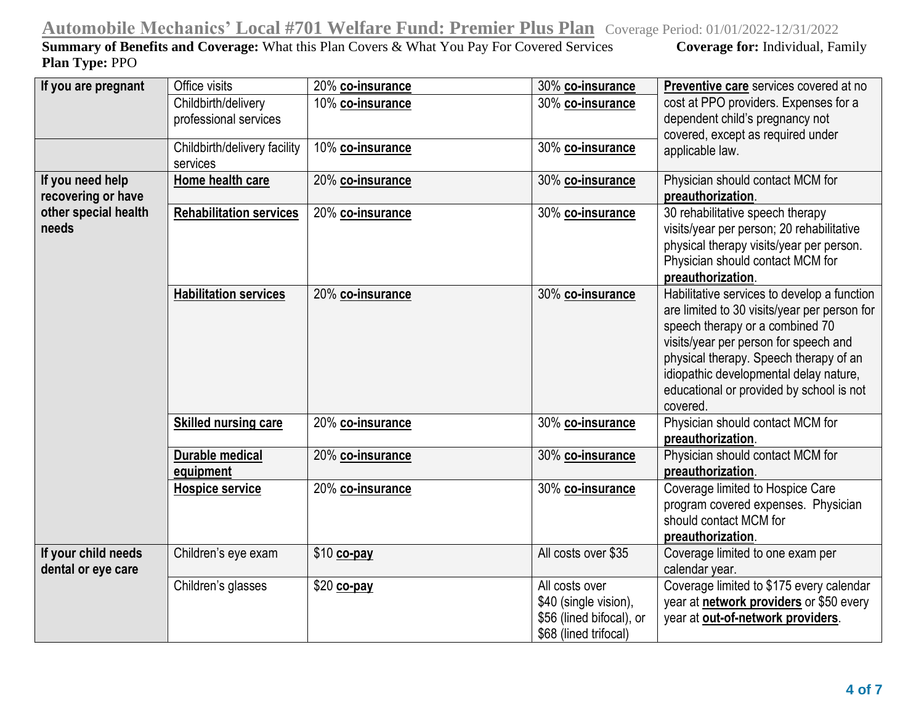| If you are pregnant                       | Office visits                            | 20% co-insurance | 30% co-insurance                                                                             | Preventive care services covered at no                                                                                                                                                                                                                                                                              |
|-------------------------------------------|------------------------------------------|------------------|----------------------------------------------------------------------------------------------|---------------------------------------------------------------------------------------------------------------------------------------------------------------------------------------------------------------------------------------------------------------------------------------------------------------------|
|                                           | Childbirth/delivery                      | 10% co-insurance | 30% co-insurance                                                                             | cost at PPO providers. Expenses for a                                                                                                                                                                                                                                                                               |
|                                           | professional services                    |                  |                                                                                              | dependent child's pregnancy not<br>covered, except as required under                                                                                                                                                                                                                                                |
|                                           | Childbirth/delivery facility<br>services | 10% co-insurance | 30% co-insurance                                                                             | applicable law.                                                                                                                                                                                                                                                                                                     |
| If you need help                          | Home health care                         |                  |                                                                                              | Physician should contact MCM for                                                                                                                                                                                                                                                                                    |
| recovering or have                        |                                          | 20% co-insurance | 30% co-insurance                                                                             | preauthorization.                                                                                                                                                                                                                                                                                                   |
| other special health<br>needs             | <b>Rehabilitation services</b>           | 20% co-insurance | 30% co-insurance                                                                             | 30 rehabilitative speech therapy<br>visits/year per person; 20 rehabilitative<br>physical therapy visits/year per person.<br>Physician should contact MCM for<br>preauthorization.                                                                                                                                  |
|                                           | <b>Habilitation services</b>             | 20% co-insurance | 30% co-insurance                                                                             | Habilitative services to develop a function<br>are limited to 30 visits/year per person for<br>speech therapy or a combined 70<br>visits/year per person for speech and<br>physical therapy. Speech therapy of an<br>idiopathic developmental delay nature,<br>educational or provided by school is not<br>covered. |
|                                           | <b>Skilled nursing care</b>              | 20% co-insurance | 30% co-insurance                                                                             | Physician should contact MCM for<br>preauthorization.                                                                                                                                                                                                                                                               |
|                                           | <b>Durable medical</b><br>equipment      | 20% co-insurance | 30% co-insurance                                                                             | Physician should contact MCM for<br>preauthorization.                                                                                                                                                                                                                                                               |
|                                           | <b>Hospice service</b>                   | 20% co-insurance | 30% co-insurance                                                                             | Coverage limited to Hospice Care<br>program covered expenses. Physician<br>should contact MCM for<br>preauthorization.                                                                                                                                                                                              |
| If your child needs<br>dental or eye care | Children's eye exam                      | \$10 co-pay      | All costs over \$35                                                                          | Coverage limited to one exam per<br>calendar year.                                                                                                                                                                                                                                                                  |
|                                           | Children's glasses                       | \$20 co-pay      | All costs over<br>\$40 (single vision),<br>\$56 (lined bifocal), or<br>\$68 (lined trifocal) | Coverage limited to \$175 every calendar<br>year at network providers or \$50 every<br>year at out-of-network providers.                                                                                                                                                                                            |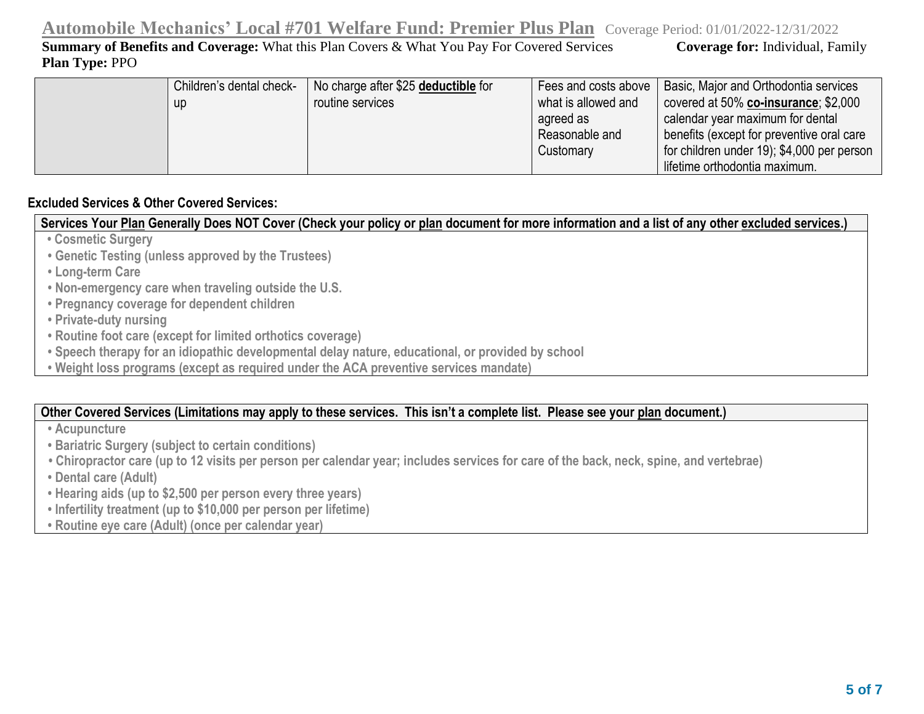| Children's dental check- | No charge after \$25 deductible for | Fees and costs above | Basic, Major and Orthodontia services      |
|--------------------------|-------------------------------------|----------------------|--------------------------------------------|
| up                       | routine services                    | what is allowed and  | covered at $50\%$ co-insurance; \$2,000    |
|                          |                                     | agreed as            | calendar year maximum for dental           |
|                          |                                     | Reasonable and       | benefits (except for preventive oral care  |
|                          |                                     | Customary            | for children under 19); \$4,000 per person |
|                          |                                     |                      | lifetime orthodontia maximum.              |

## **Excluded Services & Other Covered Services:**

**Services Your Plan Generally Does NOT Cover (Check your policy or plan document for more information and a list of any other excluded services.)**

- **Cosmetic Surgery**
- **Genetic Testing (unless approved by the Trustees)**
- **Long-term Care**
- **Non-emergency care when traveling outside the U.S.**
- **Pregnancy coverage for dependent children**
- **Private-duty nursing**
- **Routine foot care (except for limited orthotics coverage)**
- **Speech therapy for an idiopathic developmental delay nature, educational, or provided by school**
- **Weight loss programs (except as required under the ACA preventive services mandate)**

### **Other Covered Services (Limitations may apply to these services. This isn't a complete list. Please see your plan document.)**

- **Acupuncture**
- **Bariatric Surgery (subject to certain conditions)**
- **Chiropractor care (up to 12 visits per person per calendar year; includes services for care of the back, neck, spine, and vertebrae)**
- **Dental care (Adult)**
- **Hearing aids (up to \$2,500 per person every three years)**
- **Infertility treatment (up to \$10,000 per person per lifetime)**
- **Routine eye care (Adult) (once per calendar year)**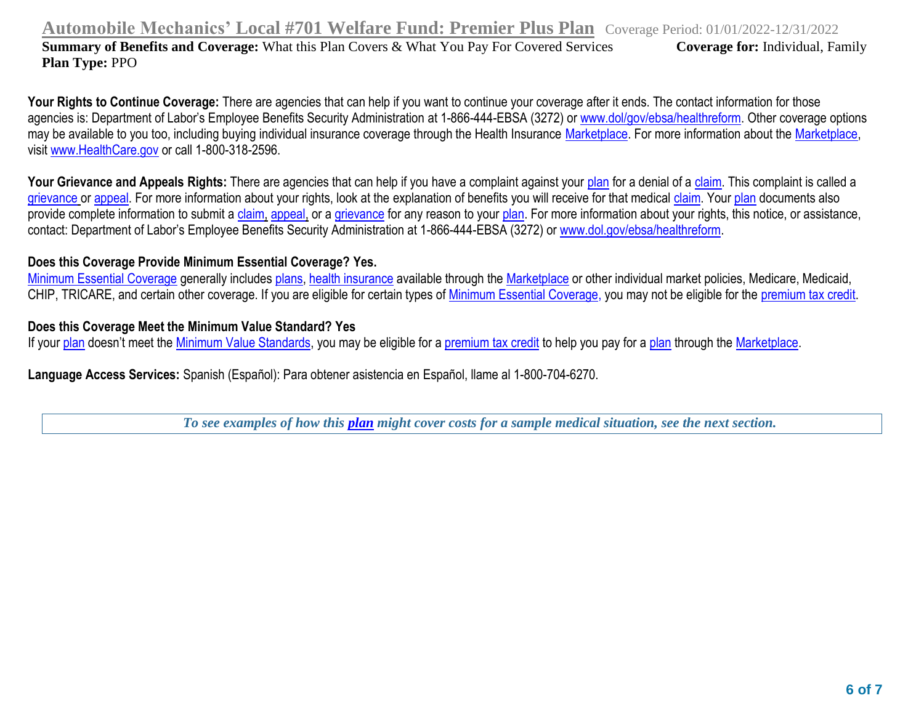**Automobile Mechanics' Local #701 Welfare Fund: Premier Plus Plan** Coverage Period: 01/01/2022-12/31/2022

**Summary of Benefits and Coverage:** What this Plan Covers & What You Pay For Covered Services **Coverage for:** Individual, Family **Plan Type:** PPO

Your Rights to Continue Coverage: There are agencies that can help if you want to continue your coverage after it ends. The contact information for those agencies is: Department of Labor's Employee Benefits Security Administration at 1-866-444-EBSA (3272) or [www.dol/gov/ebsa/healthreform.](http://www.dol/gov/ebsa/healthreform) Other coverage options may be available to you too, including buying individual insurance coverage through the Health Insurance [Marketplace.](https://www.healthcare.gov/sbc-glossary/#marketplace) For more information about the [Marketplace,](https://www.healthcare.gov/sbc-glossary/#marketplace) visit [www.HealthCare.gov](http://www.healthcare.gov/) or call 1-800-318-2596.

Your Grievance and Appeals Rights: There are agencies that can help if you have a complaint against your [plan](https://www.healthcare.gov/sbc-glossary/#plan) for a denial of a [claim.](https://www.healthcare.gov/sbc-glossary/#claim) This complaint is called a [grievance](https://www.healthcare.gov/sbc-glossary/#grievance) o[r appeal.](https://www.healthcare.gov/sbc-glossary/#appeal) For more information about your rights, look at the explanation of benefits you will receive for that medical [claim.](https://www.healthcare.gov/sbc-glossary/#claim) Your [plan](https://www.healthcare.gov/sbc-glossary/#plan) documents also provide complete information to submit a [claim,](https://www.healthcare.gov/sbc-glossary/#claim) [appeal,](https://www.healthcare.gov/sbc-glossary/#appeal) or a [grievance](https://www.healthcare.gov/sbc-glossary/#grievance) for any reason to you[r plan.](https://www.healthcare.gov/sbc-glossary/#plan) For more information about your rights, this notice, or assistance, contact: Department of Labor's Employee Benefits Security Administration at 1-866-444-EBSA (3272) or [www.dol.gov/ebsa/healthreform.](http://www.dol.gov/ebsa/healthreform)

## **Does this Coverage Provide Minimum Essential Coverage? Yes.**

[Minimum Essential Coverage](https://www.healthcare.gov/sbc-glossary/#minimum-essential-coverage) generally includes [plans,](https://www.healthcare.gov/sbc-glossary/#plan) [health insurance](https://www.healthcare.gov/sbc-glossary/#health-insurance) available through the [Marketplace](https://www.healthcare.gov/sbc-glossary/#marketplace) or other individual market policies, Medicare, Medicaid, CHIP, TRICARE, and certain other coverage. If you are eligible for certain types of [Minimum Essential Coverage,](https://www.healthcare.gov/sbc-glossary/#minimum-essential-coverage) you may not be eligible for the [premium tax credit.](https://www.healthcare.gov/sbc-glossary/#premium-tax-credits)

### **Does this Coverage Meet the Minimum Value Standard? Yes**

If your [plan](https://www.healthcare.gov/sbc-glossary/#plan) doesn't meet the [Minimum Value Standards,](https://www.healthcare.gov/sbc-glossary/#minimum-value-standard) you may be eligible for a [premium tax credit](https://www.healthcare.gov/sbc-glossary/#premium-tax-credits) to help you pay for a plan through the [Marketplace.](https://www.healthcare.gov/sbc-glossary/#marketplace)

**Language Access Services:** Spanish (Español): Para obtener asistencia en Español, llame al 1-800-704-6270.

*To see examples of how this [plan](https://www.healthcare.gov/sbc-glossary/#plan) might cover costs for a sample medical situation, see the next section.*